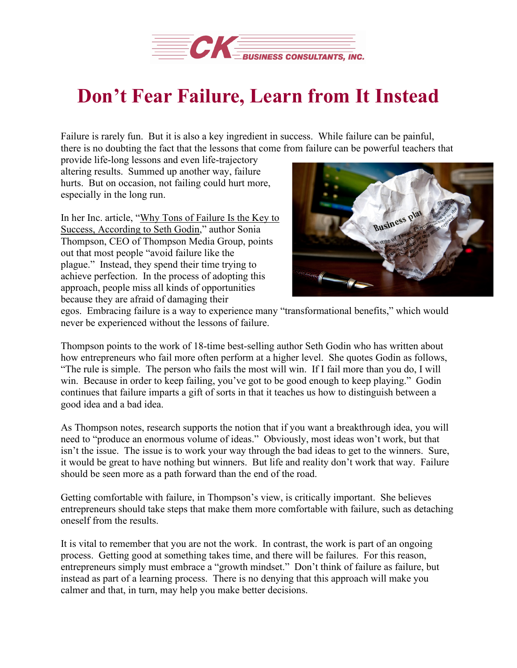

## **Don't Fear Failure, Learn from It Instead**

Failure is rarely fun. But it is also a key ingredient in success. While failure can be painful, there is no doubting the fact that the lessons that come from failure can be powerful teachers that

provide life-long lessons and even life-trajectory altering results. Summed up another way, failure hurts. But on occasion, not failing could hurt more, especially in the long run.

In her Inc. article, "Why Tons of [Failure](https://www.inc.com/sonia-thompson/why-tons-of-failure-is-the-key-to-success-according-to-seth-godin.html) Is the Key to Success, [According](https://www.inc.com/sonia-thompson/why-tons-of-failure-is-the-key-to-success-according-to-seth-godin.html) to Seth Godin," author Sonia Thompson, CEO of Thompson Media Group, points out that most people "avoid failure like the plague." Instead, they spend their time trying to achieve perfection. In the process of adopting this approach, people miss all kinds of opportunities because they are afraid of damaging their



egos. Embracing failure is a way to experience many "transformational benefits," which would never be experienced without the lessons of failure.

Thompson points to the work of 18-time best-selling author Seth Godin who has written about how entrepreneurs who fail more often perform at a higher level. She quotes Godin as follows, "The rule is simple. The person who fails the most will win. If I fail more than you do, I will win. Because in order to keep failing, you've got to be good enough to keep playing." Godin continues that failure imparts a gift of sorts in that it teaches us how to distinguish between a good idea and a bad idea.

As Thompson notes, research supports the notion that if you want a breakthrough idea, you will need to "produce an enormous volume of ideas." Obviously, most ideas won't work, but that isn't the issue. The issue is to work your way through the bad ideas to get to the winners. Sure, it would be great to have nothing but winners. But life and reality don't work that way. Failure should be seen more as a path forward than the end of the road.

Getting comfortable with failure, in Thompson's view, is critically important. She believes entrepreneurs should take steps that make them more comfortable with failure, such as detaching oneself from the results.

It is vital to remember that you are not the work. In contrast, the work is part of an ongoing process. Getting good at something takes time, and there will be failures. For this reason, entrepreneurs simply must embrace a "growth mindset." Don't think of failure as failure, but instead as part of a learning process. There is no denying that this approach will make you calmer and that, in turn, may help you make better decisions.